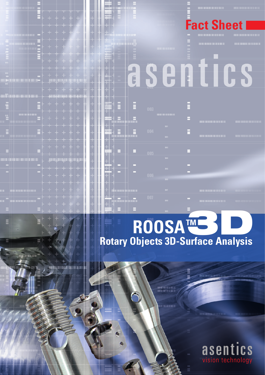

## **TM ROOSA Rotary Objects 3D-Surface Analysis** IMERS D